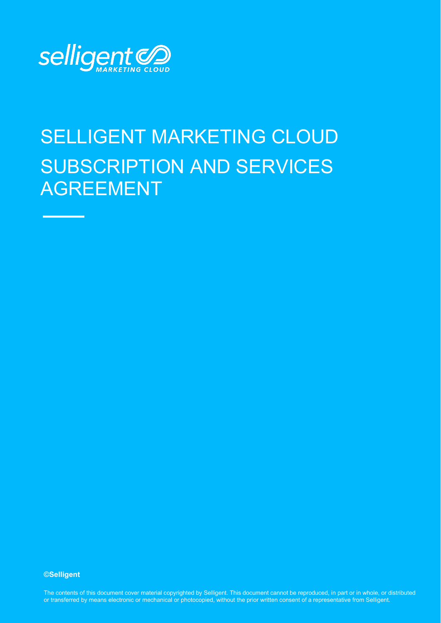

# SELLIGENT MARKETING CLOUD SUBSCRIPTION AND SERVICES AGREEMENT

#### **©Selligent**

The contents of this document cover material copyrighted by Selligent. This document cannot be reproduced, in part or in whole, or distributed or transferred by means electronic or mechanical or photocopied, without the prior written consent of a representative from Selligent.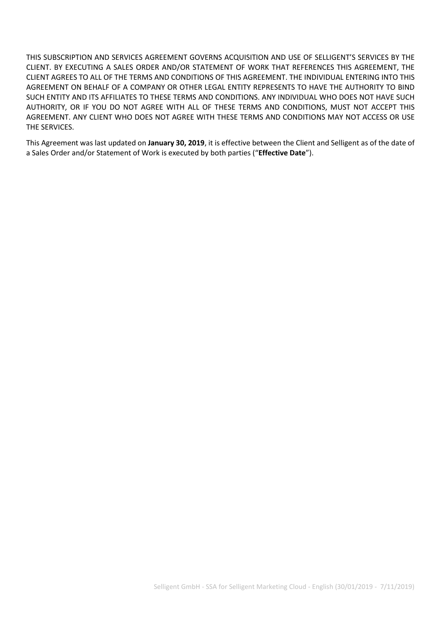THIS SUBSCRIPTION AND SERVICES AGREEMENT GOVERNS ACQUISITION AND USE OF SELLIGENT'S SERVICES BY THE CLIENT. BY EXECUTING A SALES ORDER AND/OR STATEMENT OF WORK THAT REFERENCES THIS AGREEMENT, THE CLIENT AGREES TO ALL OF THE TERMS AND CONDITIONS OF THIS AGREEMENT. THE INDIVIDUAL ENTERING INTO THIS AGREEMENT ON BEHALF OF A COMPANY OR OTHER LEGAL ENTITY REPRESENTS TO HAVE THE AUTHORITY TO BIND SUCH ENTITY AND ITS AFFILIATES TO THESE TERMS AND CONDITIONS. ANY INDIVIDUAL WHO DOES NOT HAVE SUCH AUTHORITY, OR IF YOU DO NOT AGREE WITH ALL OF THESE TERMS AND CONDITIONS, MUST NOT ACCEPT THIS AGREEMENT. ANY CLIENT WHO DOES NOT AGREE WITH THESE TERMS AND CONDITIONS MAY NOT ACCESS OR USE THE SERVICES.

This Agreement was last updated on **January 30, 2019**, it is effective between the Client and Selligent as of the date of a Sales Order and/or Statement of Work is executed by both parties ("**Effective Date**").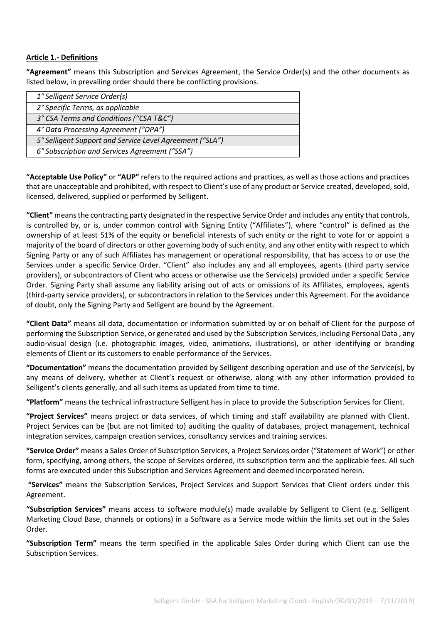## **Article 1.- Definitions**

**"Agreement"** means this Subscription and Services Agreement, the Service Order(s) and the other documents as listed below, in prevailing order should there be conflicting provisions.

| 1° Selligent Service Order(s)                            |  |
|----------------------------------------------------------|--|
| 2° Specific Terms, as applicable                         |  |
| 3° CSA Terms and Conditions ("CSA T&C")                  |  |
| 4° Data Processing Agreement ("DPA")                     |  |
| 5° Selligent Support and Service Level Agreement ("SLA") |  |
| 6° Subscription and Services Agreement ("SSA")           |  |
|                                                          |  |

**"Acceptable Use Policy"** or **"AUP"** refers to the required actions and practices, as well as those actions and practices that are unacceptable and prohibited, with respect to Client's use of any product or Service created, developed, sold, licensed, delivered, supplied or performed by Selligent.

**"Client"** means the contracting party designated in the respective Service Order and includes any entity that controls, is controlled by, or is, under common control with Signing Entity ("Affiliates"), where "control" is defined as the ownership of at least 51% of the equity or beneficial interests of such entity or the right to vote for or appoint a majority of the board of directors or other governing body of such entity, and any other entity with respect to which Signing Party or any of such Affiliates has management or operational responsibility, that has access to or use the Services under a specific Service Order. "Client" also includes any and all employees, agents (third party service providers), or subcontractors of Client who access or otherwise use the Service(s) provided under a specific Service Order. Signing Party shall assume any liability arising out of acts or omissions of its Affiliates, employees, agents (third-party service providers), or subcontractors in relation to the Services under this Agreement. For the avoidance of doubt, only the Signing Party and Selligent are bound by the Agreement.

**"Client Data"** means all data, documentation or information submitted by or on behalf of Client for the purpose of performing the Subscription Service, or generated and used by the Subscription Services, including Personal Data , any audio-visual design (i.e. photographic images, video, animations, illustrations), or other identifying or branding elements of Client or its customers to enable performance of the Services.

**"Documentation"** means the documentation provided by Selligent describing operation and use of the Service(s), by any means of delivery, whether at Client's request or otherwise, along with any other information provided to Selligent's clients generally, and all such items as updated from time to time.

**"Platform"** means the technical infrastructure Selligent has in place to provide the Subscription Services for Client.

**"Project Services"** means project or data services, of which timing and staff availability are planned with Client. Project Services can be (but are not limited to) auditing the quality of databases, project management, technical integration services, campaign creation services, consultancy services and training services.

**"Service Order"** means a Sales Order of Subscription Services, a Project Services order ("Statement of Work") or other form, specifying, among others, the scope of Services ordered, its subscription term and the applicable fees. All such forms are executed under this Subscription and Services Agreement and deemed incorporated herein.

**"Services"** means the Subscription Services, Project Services and Support Services that Client orders under this Agreement.

**"Subscription Services"** means access to software module(s) made available by Selligent to Client (e.g. Selligent Marketing Cloud Base, channels or options) in a Software as a Service mode within the limits set out in the Sales Order.

**"Subscription Term"** means the term specified in the applicable Sales Order during which Client can use the Subscription Services.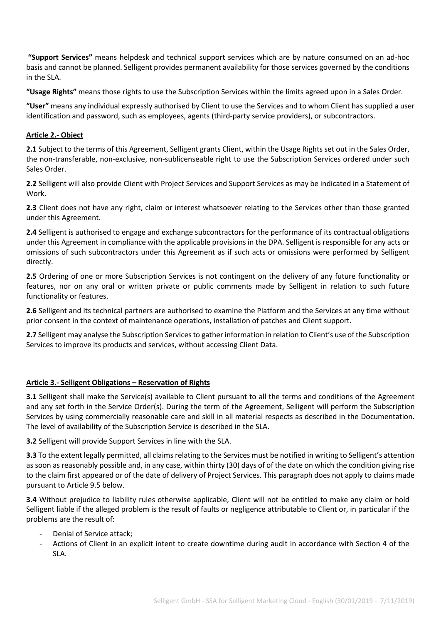**"Support Services"** means helpdesk and technical support services which are by nature consumed on an ad-hoc basis and cannot be planned. Selligent provides permanent availability for those services governed by the conditions in the SLA.

**"Usage Rights"** means those rights to use the Subscription Services within the limits agreed upon in a Sales Order.

**"User"** means any individual expressly authorised by Client to use the Services and to whom Client has supplied a user identification and password, such as employees, agents (third-party service providers), or subcontractors.

## **Article 2.- Object**

**2.1** Subject to the terms of this Agreement, Selligent grants Client, within the Usage Rights set out in the Sales Order, the non-transferable, non-exclusive, non-sublicenseable right to use the Subscription Services ordered under such Sales Order.

**2.2** Selligent will also provide Client with Project Services and Support Services as may be indicated in a Statement of Work.

**2.3** Client does not have any right, claim or interest whatsoever relating to the Services other than those granted under this Agreement.

**2.4** Selligent is authorised to engage and exchange subcontractors for the performance of its contractual obligations under this Agreement in compliance with the applicable provisions in the DPA. Selligent is responsible for any acts or omissions of such subcontractors under this Agreement as if such acts or omissions were performed by Selligent directly.

**2.5** Ordering of one or more Subscription Services is not contingent on the delivery of any future functionality or features, nor on any oral or written private or public comments made by Selligent in relation to such future functionality or features.

**2.6** Selligent and its technical partners are authorised to examine the Platform and the Services at any time without prior consent in the context of maintenance operations, installation of patches and Client support.

**2.7** Selligent may analyse the Subscription Services to gather information in relation to Client's use of the Subscription Services to improve its products and services, without accessing Client Data.

#### **Article 3.- Selligent Obligations – Reservation of Rights**

**3.1** Selligent shall make the Service(s) available to Client pursuant to all the terms and conditions of the Agreement and any set forth in the Service Order(s). During the term of the Agreement, Selligent will perform the Subscription Services by using commercially reasonable care and skill in all material respects as described in the Documentation. The level of availability of the Subscription Service is described in the SLA.

**3.2** Selligent will provide Support Services in line with the SLA.

**3.3** To the extent legally permitted, all claims relating to the Services must be notified in writing to Selligent's attention as soon as reasonably possible and, in any case, within thirty (30) days of of the date on which the condition giving rise to the claim first appeared or of the date of delivery of Project Services. This paragraph does not apply to claims made pursuant to Article 9.5 below.

**3.4** Without prejudice to liability rules otherwise applicable, Client will not be entitled to make any claim or hold Selligent liable if the alleged problem is the result of faults or negligence attributable to Client or, in particular if the problems are the result of:

- Denial of Service attack:
- Actions of Client in an explicit intent to create downtime during audit in accordance with Section 4 of the SLA.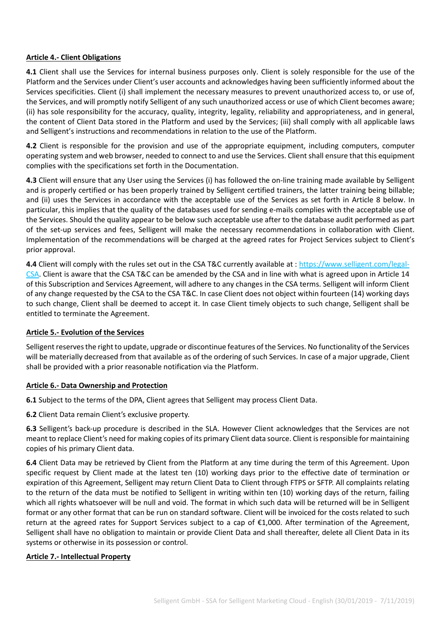## **Article 4.- Client Obligations**

**4.1** Client shall use the Services for internal business purposes only. Client is solely responsible for the use of the Platform and the Services under Client's user accounts and acknowledges having been sufficiently informed about the Services specificities. Client (i) shall implement the necessary measures to prevent unauthorized access to, or use of, the Services, and will promptly notify Selligent of any such unauthorized access or use of which Client becomes aware; (ii) has sole responsibility for the accuracy, quality, integrity, legality, reliability and appropriateness, and in general, the content of Client Data stored in the Platform and used by the Services; (iii) shall comply with all applicable laws and Selligent's instructions and recommendations in relation to the use of the Platform.

**4.2** Client is responsible for the provision and use of the appropriate equipment, including computers, computer operating system and web browser, needed to connect to and use the Services. Client shall ensure that this equipment complies with the specifications set forth in the Documentation.

**4.3** Client will ensure that any User using the Services (i) has followed the on-line training made available by Selligent and is properly certified or has been properly trained by Selligent certified trainers, the latter training being billable; and (ii) uses the Services in accordance with the acceptable use of the Services as set forth in Article 8 below. In particular, this implies that the quality of the databases used for sending e-mails complies with the acceptable use of the Services. Should the quality appear to be below such acceptable use after to the database audit performed as part of the set-up services and fees, Selligent will make the necessary recommendations in collaboration with Client. Implementation of the recommendations will be charged at the agreed rates for Project Services subject to Client's prior approval.

**4.4** Client will comply with the rules set out in the CSA T&C currently available at [: https://www.selligent.com/legal-](https://www.selligent.com/legal-CSA)[CSA.](https://www.selligent.com/legal-CSA) Client is aware that the CSA T&C can be amended by the CSA and in line with what is agreed upon in Article 14 of this Subscription and Services Agreement, will adhere to any changes in the CSA terms. Selligent will inform Client of any change requested by the CSA to the CSA T&C. In case Client does not object within fourteen (14) working days to such change, Client shall be deemed to accept it. In case Client timely objects to such change, Selligent shall be entitled to terminate the Agreement.

#### **Article 5.- Evolution of the Services**

Selligent reserves the right to update, upgrade or discontinue features of the Services. No functionality of the Services will be materially decreased from that available as of the ordering of such Services. In case of a major upgrade, Client shall be provided with a prior reasonable notification via the Platform.

#### **Article 6.- Data Ownership and Protection**

**6.1** Subject to the terms of the DPA, Client agrees that Selligent may process Client Data.

**6.2** Client Data remain Client's exclusive property.

**6.3** Selligent's back-up procedure is described in the SLA. However Client acknowledges that the Services are not meant to replace Client's need for making copies of its primary Client data source. Client is responsible for maintaining copies of his primary Client data.

**6.4** Client Data may be retrieved by Client from the Platform at any time during the term of this Agreement. Upon specific request by Client made at the latest ten (10) working days prior to the effective date of termination or expiration of this Agreement, Selligent may return Client Data to Client through FTPS or SFTP. All complaints relating to the return of the data must be notified to Selligent in writing within ten (10) working days of the return, failing which all rights whatsoever will be null and void. The format in which such data will be returned will be in Selligent format or any other format that can be run on standard software. Client will be invoiced for the costs related to such return at the agreed rates for Support Services subject to a cap of €1,000. After termination of the Agreement, Selligent shall have no obligation to maintain or provide Client Data and shall thereafter, delete all Client Data in its systems or otherwise in its possession or control.

#### **Article 7.- Intellectual Property**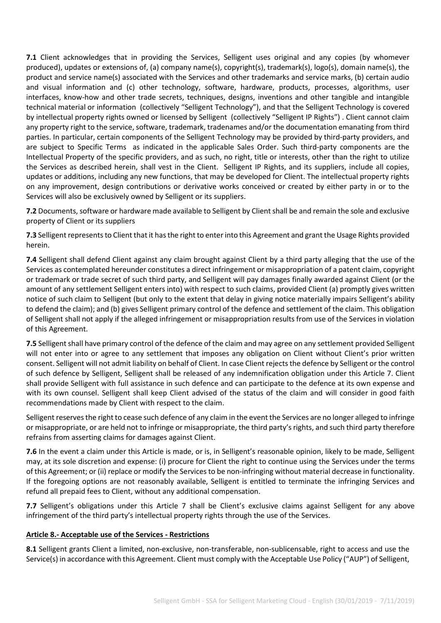**7.1** Client acknowledges that in providing the Services, Selligent uses original and any copies (by whomever produced), updates or extensions of, (a) company name(s), copyright(s), trademark(s), logo(s), domain name(s), the product and service name(s) associated with the Services and other trademarks and service marks, (b) certain audio and visual information and (c) other technology, software, hardware, products, processes, algorithms, user interfaces, know-how and other trade secrets, techniques, designs, inventions and other tangible and intangible technical material or information (collectively "Selligent Technology"), and that the Selligent Technology is covered by intellectual property rights owned or licensed by Selligent (collectively "Selligent IP Rights") . Client cannot claim any property right to the service, software, trademark, tradenames and/or the documentation emanating from third parties. In particular, certain components of the Selligent Technology may be provided by third-party providers, and are subject to Specific Terms as indicated in the applicable Sales Order. Such third-party components are the Intellectual Property of the specific providers, and as such, no right, title or interests, other than the right to utilize the Services as described herein, shall vest in the Client. Selligent IP Rights, and its suppliers, include all copies, updates or additions, including any new functions, that may be developed for Client. The intellectual property rights on any improvement, design contributions or derivative works conceived or created by either party in or to the Services will also be exclusively owned by Selligent or its suppliers.

**7.2** Documents, software or hardware made available to Selligent by Client shall be and remain the sole and exclusive property of Client or its suppliers

**7.3** Selligent represents to Client that it has the right to enter into this Agreement and grant the Usage Rights provided herein.

**7.4** Selligent shall defend Client against any claim brought against Client by a third party alleging that the use of the Services as contemplated hereunder constitutes a direct infringement or misappropriation of a patent claim, copyright or trademark or trade secret of such third party, and Selligent will pay damages finally awarded against Client (or the amount of any settlement Selligent enters into) with respect to such claims, provided Client (a) promptly gives written notice of such claim to Selligent (but only to the extent that delay in giving notice materially impairs Selligent's ability to defend the claim); and (b) gives Selligent primary control of the defence and settlement of the claim. This obligation of Selligent shall not apply if the alleged infringement or misappropriation results from use of the Services in violation of this Agreement.

**7.5** Selligent shall have primary control of the defence of the claim and may agree on any settlement provided Selligent will not enter into or agree to any settlement that imposes any obligation on Client without Client's prior written consent. Selligent will not admit liability on behalf of Client. In case Client rejects the defence by Selligent or the control of such defence by Selligent, Selligent shall be released of any indemnification obligation under this Article 7. Client shall provide Selligent with full assistance in such defence and can participate to the defence at its own expense and with its own counsel. Selligent shall keep Client advised of the status of the claim and will consider in good faith recommendations made by Client with respect to the claim.

Selligent reserves the right to cease such defence of any claim in the event the Services are no longer alleged to infringe or misappropriate, or are held not to infringe or misappropriate, the third party's rights, and such third party therefore refrains from asserting claims for damages against Client.

**7.6** In the event a claim under this Article is made, or is, in Selligent's reasonable opinion, likely to be made, Selligent may, at its sole discretion and expense: (i) procure for Client the right to continue using the Services under the terms of this Agreement; or (ii) replace or modify the Services to be non-infringing without material decrease in functionality. If the foregoing options are not reasonably available, Selligent is entitled to terminate the infringing Services and refund all prepaid fees to Client, without any additional compensation.

**7.7** Selligent's obligations under this Article 7 shall be Client's exclusive claims against Selligent for any above infringement of the third party's intellectual property rights through the use of the Services.

## **Article 8.- Acceptable use of the Services - Restrictions**

**8.1** Selligent grants Client a limited, non-exclusive, non-transferable, non-sublicensable, right to access and use the Service(s) in accordance with this Agreement. Client must comply with the Acceptable Use Policy ("AUP") of Selligent,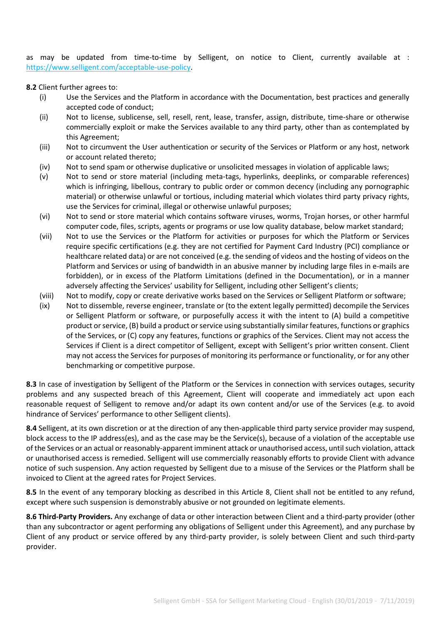as may be updated from time-to-time by Selligent, on notice to Client, currently available at : [https://www.selligent.com/acceptable-use-policy.](https://selligent.com/acceptable-use-policy)

**8.2** Client further agrees to:

- (i) Use the Services and the Platform in accordance with the Documentation, best practices and generally accepted code of conduct;
- (ii) Not to license, sublicense, sell, resell, rent, lease, transfer, assign, distribute, time-share or otherwise commercially exploit or make the Services available to any third party, other than as contemplated by this Agreement;
- (iii) Not to circumvent the User authentication or security of the Services or Platform or any host, network or account related thereto;
- (iv) Not to send spam or otherwise duplicative or unsolicited messages in violation of applicable laws;
- (v) Not to send or store material (including meta-tags, hyperlinks, deeplinks, or comparable references) which is infringing, libellous, contrary to public order or common decency (including any pornographic material) or otherwise unlawful or tortious, including material which violates third party privacy rights, use the Services for criminal, illegal or otherwise unlawful purposes;
- (vi) Not to send or store material which contains software viruses, worms, Trojan horses, or other harmful computer code, files, scripts, agents or programs or use low quality database, below market standard;
- (vii) Not to use the Services or the Platform for activities or purposes for which the Platform or Services require specific certifications (e.g. they are not certified for Payment Card Industry (PCI) compliance or healthcare related data) or are not conceived (e.g. the sending of videos and the hosting of videos on the Platform and Services or using of bandwidth in an abusive manner by including large files in e-mails are forbidden), or in excess of the Platform Limitations (defined in the Documentation), or in a manner adversely affecting the Services' usability for Selligent, including other Selligent's clients;
- (viii) Not to modify, copy or create derivative works based on the Services or Selligent Platform or software;
- (ix) Not to dissemble, reverse engineer, translate or (to the extent legally permitted) decompile the Services or Selligent Platform or software, or purposefully access it with the intent to (A) build a competitive product or service, (B) build a product or service using substantially similar features, functions or graphics of the Services, or (C) copy any features, functions or graphics of the Services. Client may not access the Services if Client is a direct competitor of Selligent, except with Selligent's prior written consent. Client may not access the Services for purposes of monitoring its performance or functionality, or for any other benchmarking or competitive purpose.

**8.3** In case of investigation by Selligent of the Platform or the Services in connection with services outages, security problems and any suspected breach of this Agreement, Client will cooperate and immediately act upon each reasonable request of Selligent to remove and/or adapt its own content and/or use of the Services (e.g. to avoid hindrance of Services' performance to other Selligent clients).

**8.4** Selligent, at its own discretion or at the direction of any then-applicable third party service provider may suspend, block access to the IP address(es), and as the case may be the Service(s), because of a violation of the acceptable use of the Services or an actual or reasonably-apparent imminent attack or unauthorised access, until such violation, attack or unauthorised access is remedied. Selligent will use commercially reasonably efforts to provide Client with advance notice of such suspension. Any action requested by Selligent due to a misuse of the Services or the Platform shall be invoiced to Client at the agreed rates for Project Services.

**8.5** In the event of any temporary blocking as described in this Article 8, Client shall not be entitled to any refund, except where such suspension is demonstrably abusive or not grounded on legitimate elements.

**8.6 Third-Party Providers.** Any exchange of data or other interaction between Client and a third-party provider (other than any subcontractor or agent performing any obligations of Selligent under this Agreement), and any purchase by Client of any product or service offered by any third-party provider, is solely between Client and such third-party provider.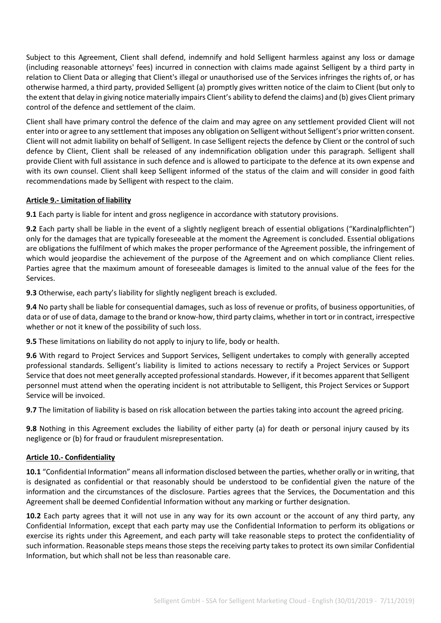Subject to this Agreement, Client shall defend, indemnify and hold Selligent harmless against any loss or damage (including reasonable attorneys' fees) incurred in connection with claims made against Selligent by a third party in relation to Client Data or alleging that Client's illegal or unauthorised use of the Services infringes the rights of, or has otherwise harmed, a third party, provided Selligent (a) promptly gives written notice of the claim to Client (but only to the extent that delay in giving notice materially impairs Client's ability to defend the claims) and (b) gives Client primary control of the defence and settlement of the claim.

Client shall have primary control the defence of the claim and may agree on any settlement provided Client will not enter into or agree to any settlement that imposes any obligation on Selligent without Selligent's prior written consent. Client will not admit liability on behalf of Selligent. In case Selligent rejects the defence by Client or the control of such defence by Client, Client shall be released of any indemnification obligation under this paragraph. Selligent shall provide Client with full assistance in such defence and is allowed to participate to the defence at its own expense and with its own counsel. Client shall keep Selligent informed of the status of the claim and will consider in good faith recommendations made by Selligent with respect to the claim.

## **Article 9.- Limitation of liability**

**9.1** Each party is liable for intent and gross negligence in accordance with statutory provisions.

**9.2** Each party shall be liable in the event of a slightly negligent breach of essential obligations ("Kardinalpflichten") only for the damages that are typically foreseeable at the moment the Agreement is concluded. Essential obligations are obligations the fulfilment of which makes the proper performance of the Agreement possible, the infringement of which would jeopardise the achievement of the purpose of the Agreement and on which compliance Client relies. Parties agree that the maximum amount of foreseeable damages is limited to the annual value of the fees for the Services.

**9.3** Otherwise, each party's liability for slightly negligent breach is excluded.

**9.4** No party shall be liable for consequential damages, such as loss of revenue or profits, of business opportunities, of data or of use of data, damage to the brand or know-how, third party claims, whether in tort or in contract, irrespective whether or not it knew of the possibility of such loss.

**9.5** These limitations on liability do not apply to injury to life, body or health.

**9.6** With regard to Project Services and Support Services, Selligent undertakes to comply with generally accepted professional standards. Selligent's liability is limited to actions necessary to rectify a Project Services or Support Service that does not meet generally accepted professional standards. However, if it becomes apparent that Selligent personnel must attend when the operating incident is not attributable to Selligent, this Project Services or Support Service will be invoiced.

**9.7** The limitation of liability is based on risk allocation between the parties taking into account the agreed pricing.

**9.8** Nothing in this Agreement excludes the liability of either party (a) for death or personal injury caused by its negligence or (b) for fraud or fraudulent misrepresentation.

#### **Article 10.- Confidentiality**

**10.1** "Confidential Information" means all information disclosed between the parties, whether orally or in writing, that is designated as confidential or that reasonably should be understood to be confidential given the nature of the information and the circumstances of the disclosure. Parties agrees that the Services, the Documentation and this Agreement shall be deemed Confidential Information without any marking or further designation.

**10.2** Each party agrees that it will not use in any way for its own account or the account of any third party, any Confidential Information, except that each party may use the Confidential Information to perform its obligations or exercise its rights under this Agreement, and each party will take reasonable steps to protect the confidentiality of such information. Reasonable steps means those steps the receiving party takes to protect its own similar Confidential Information, but which shall not be less than reasonable care.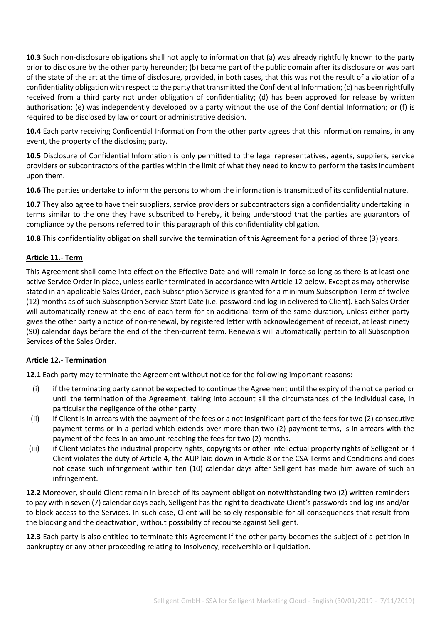**10.3** Such non-disclosure obligations shall not apply to information that (a) was already rightfully known to the party prior to disclosure by the other party hereunder; (b) became part of the public domain after its disclosure or was part of the state of the art at the time of disclosure, provided, in both cases, that this was not the result of a violation of a confidentiality obligation with respect to the party that transmitted the Confidential Information; (c) has been rightfully received from a third party not under obligation of confidentiality; (d) has been approved for release by written authorisation; (e) was independently developed by a party without the use of the Confidential Information; or (f) is required to be disclosed by law or court or administrative decision.

**10.4** Each party receiving Confidential Information from the other party agrees that this information remains, in any event, the property of the disclosing party.

**10.5** Disclosure of Confidential Information is only permitted to the legal representatives, agents, suppliers, service providers or subcontractors of the parties within the limit of what they need to know to perform the tasks incumbent upon them.

**10.6** The parties undertake to inform the persons to whom the information is transmitted of its confidential nature.

**10.7** They also agree to have their suppliers, service providers or subcontractors sign a confidentiality undertaking in terms similar to the one they have subscribed to hereby, it being understood that the parties are guarantors of compliance by the persons referred to in this paragraph of this confidentiality obligation.

**10.8** This confidentiality obligation shall survive the termination of this Agreement for a period of three (3) years.

## **Article 11.- Term**

This Agreement shall come into effect on the Effective Date and will remain in force so long as there is at least one active Service Order in place, unless earlier terminated in accordance with Article 12 below. Except as may otherwise stated in an applicable Sales Order, each Subscription Service is granted for a minimum Subscription Term of twelve (12) months as of such Subscription Service Start Date (i.e. password and log-in delivered to Client). Each Sales Order will automatically renew at the end of each term for an additional term of the same duration, unless either party gives the other party a notice of non-renewal, by registered letter with acknowledgement of receipt, at least ninety (90) calendar days before the end of the then-current term. Renewals will automatically pertain to all Subscription Services of the Sales Order.

#### **Article 12.- Termination**

**12.1** Each party may terminate the Agreement without notice for the following important reasons:

- (i) if the terminating party cannot be expected to continue the Agreement until the expiry of the notice period or until the termination of the Agreement, taking into account all the circumstances of the individual case, in particular the negligence of the other party.
- (ii) if Client is in arrears with the payment of the fees or a not insignificant part of the fees for two (2) consecutive payment terms or in a period which extends over more than two (2) payment terms, is in arrears with the payment of the fees in an amount reaching the fees for two (2) months.
- (iii) if Client violates the industrial property rights, copyrights or other intellectual property rights of Selligent or if Client violates the duty of Article 4, the AUP laid down in Article 8 or the CSA Terms and Conditions and does not cease such infringement within ten (10) calendar days after Selligent has made him aware of such an infringement.

**12.2** Moreover, should Client remain in breach of its payment obligation notwithstanding two (2) written reminders to pay within seven (7) calendar days each, Selligent has the right to deactivate Client's passwords and log-ins and/or to block access to the Services. In such case, Client will be solely responsible for all consequences that result from the blocking and the deactivation, without possibility of recourse against Selligent.

**12.3** Each party is also entitled to terminate this Agreement if the other party becomes the subject of a petition in bankruptcy or any other proceeding relating to insolvency, receivership or liquidation.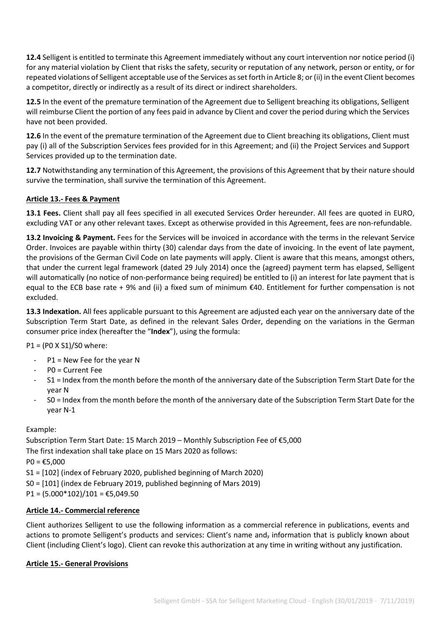**12.4** Selligent is entitled to terminate this Agreement immediately without any court intervention nor notice period (i) for any material violation by Client that risks the safety, security or reputation of any network, person or entity, or for repeated violations of Selligent acceptable use of the Services as set forth in Article 8; or (ii) in the event Client becomes a competitor, directly or indirectly as a result of its direct or indirect shareholders.

**12.5** In the event of the premature termination of the Agreement due to Selligent breaching its obligations, Selligent will reimburse Client the portion of any fees paid in advance by Client and cover the period during which the Services have not been provided.

**12.6** In the event of the premature termination of the Agreement due to Client breaching its obligations, Client must pay (i) all of the Subscription Services fees provided for in this Agreement; and (ii) the Project Services and Support Services provided up to the termination date.

**12.7** Notwithstanding any termination of this Agreement, the provisions of this Agreement that by their nature should survive the termination, shall survive the termination of this Agreement.

## **Article 13.- Fees & Payment**

**13.1 Fees.** Client shall pay all fees specified in all executed Services Order hereunder. All fees are quoted in EURO, excluding VAT or any other relevant taxes. Except as otherwise provided in this Agreement, fees are non-refundable.

**13.2 Invoicing & Payment.** Fees for the Services will be invoiced in accordance with the terms in the relevant Service Order. Invoices are payable within thirty (30) calendar days from the date of invoicing. In the event of late payment, the provisions of the German Civil Code on late payments will apply. Client is aware that this means, amongst others, that under the current legal framework (dated 29 July 2014) once the (agreed) payment term has elapsed, Selligent will automatically (no notice of non-performance being required) be entitled to (i) an interest for late payment that is equal to the ECB base rate + 9% and (ii) a fixed sum of minimum €40. Entitlement for further compensation is not excluded.

**13.3 Indexation.** All fees applicable pursuant to this Agreement are adjusted each year on the anniversary date of the Subscription Term Start Date, as defined in the relevant Sales Order, depending on the variations in the German consumer price index (hereafter the "**Index**"), using the formula:

P1 = (P0 X S1)/S0 where:

- $P1$  = New Fee for the year N
- P0 = Current Fee
- S1 = Index from the month before the month of the anniversary date of the Subscription Term Start Date for the year N
- S0 = Index from the month before the month of the anniversary date of the Subscription Term Start Date for the year N-1

# Example:

Subscription Term Start Date: 15 March 2019 – Monthly Subscription Fee of €5,000 The first indexation shall take place on 15 Mars 2020 as follows:  $PO = £5,000$ S1 = [102] (index of February 2020, published beginning of March 2020) S0 = [101] (index de February 2019, published beginning of Mars 2019)

 $P1 = (5.000*102)/101 = \text{\textsterling}5,049.50$ 

# **Article 14.- Commercial reference**

Client authorizes Selligent to use the following information as a commercial reference in publications, events and actions to promote Selligent's products and services: Client's name and, information that is publicly known about Client (including Client's logo). Client can revoke this authorization at any time in writing without any justification.

## **Article 15.- General Provisions**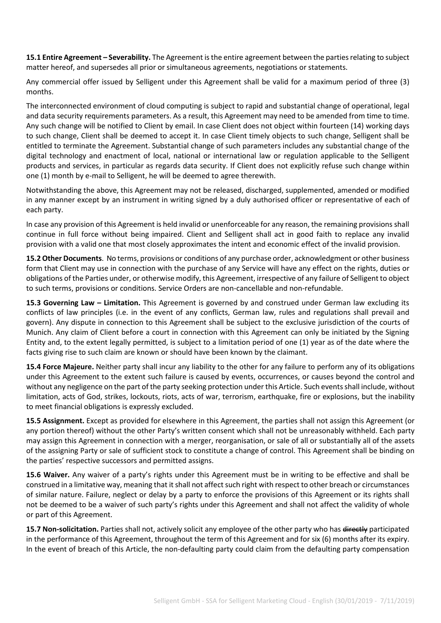**15.1 Entire Agreement – Severability.** The Agreement is the entire agreement between the parties relating to subject matter hereof, and supersedes all prior or simultaneous agreements, negotiations or statements.

Any commercial offer issued by Selligent under this Agreement shall be valid for a maximum period of three (3) months.

The interconnected environment of cloud computing is subject to rapid and substantial change of operational, legal and data security requirements parameters. As a result, this Agreement may need to be amended from time to time. Any such change will be notified to Client by email. In case Client does not object within fourteen (14) working days to such change, Client shall be deemed to accept it. In case Client timely objects to such change, Selligent shall be entitled to terminate the Agreement. Substantial change of such parameters includes any substantial change of the digital technology and enactment of local, national or international law or regulation applicable to the Selligent products and services, in particular as regards data security. If Client does not explicitly refuse such change within one (1) month by e-mail to Selligent, he will be deemed to agree therewith.

Notwithstanding the above, this Agreement may not be released, discharged, supplemented, amended or modified in any manner except by an instrument in writing signed by a duly authorised officer or representative of each of each party.

In case any provision of this Agreement is held invalid or unenforceable for any reason, the remaining provisions shall continue in full force without being impaired. Client and Selligent shall act in good faith to replace any invalid provision with a valid one that most closely approximates the intent and economic effect of the invalid provision.

**15.2 Other Documents**. No terms, provisions or conditions of any purchase order, acknowledgment or other business form that Client may use in connection with the purchase of any Service will have any effect on the rights, duties or obligations of the Parties under, or otherwise modify, this Agreement, irrespective of any failure of Selligent to object to such terms, provisions or conditions. Service Orders are non-cancellable and non-refundable.

**15.3 Governing Law – Limitation.** This Agreement is governed by and construed under German law excluding its conflicts of law principles (i.e. in the event of any conflicts, German law, rules and regulations shall prevail and govern). Any dispute in connection to this Agreement shall be subject to the exclusive jurisdiction of the courts of Munich. Any claim of Client before a court in connection with this Agreement can only be initiated by the Signing Entity and, to the extent legally permitted, is subject to a limitation period of one (1) year as of the date where the facts giving rise to such claim are known or should have been known by the claimant.

**15.4 Force Majeure.** Neither party shall incur any liability to the other for any failure to perform any of its obligations under this Agreement to the extent such failure is caused by events, occurrences, or causes beyond the control and without any negligence on the part of the party seeking protection under this Article. Such events shall include, without limitation, acts of God, strikes, lockouts, riots, acts of war, terrorism, earthquake, fire or explosions, but the inability to meet financial obligations is expressly excluded.

**15.5 Assignment.** Except as provided for elsewhere in this Agreement, the parties shall not assign this Agreement (or any portion thereof) without the other Party's written consent which shall not be unreasonably withheld. Each party may assign this Agreement in connection with a merger, reorganisation, or sale of all or substantially all of the assets of the assigning Party or sale of sufficient stock to constitute a change of control. This Agreement shall be binding on the parties' respective successors and permitted assigns.

**15.6 Waiver.** Any waiver of a party's rights under this Agreement must be in writing to be effective and shall be construed in a limitative way, meaning that it shall not affect such right with respect to other breach or circumstances of similar nature. Failure, neglect or delay by a party to enforce the provisions of this Agreement or its rights shall not be deemed to be a waiver of such party's rights under this Agreement and shall not affect the validity of whole or part of this Agreement.

**15.7 Non-solicitation.** Parties shall not, actively solicit any employee of the other party who has directly participated in the performance of this Agreement, throughout the term of this Agreement and for six (6) months after its expiry. In the event of breach of this Article, the non-defaulting party could claim from the defaulting party compensation